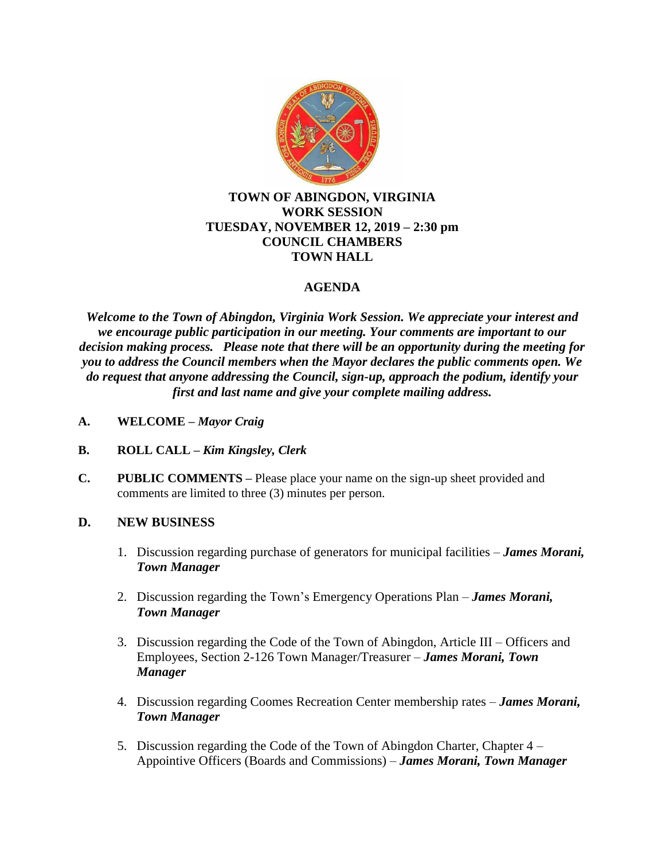

### **TOWN OF ABINGDON, VIRGINIA WORK SESSION TUESDAY, NOVEMBER 12, 2019 – 2:30 pm COUNCIL CHAMBERS TOWN HALL**

# **AGENDA**

*Welcome to the Town of Abingdon, Virginia Work Session. We appreciate your interest and we encourage public participation in our meeting. Your comments are important to our decision making process. Please note that there will be an opportunity during the meeting for you to address the Council members when the Mayor declares the public comments open. We do request that anyone addressing the Council, sign-up, approach the podium, identify your first and last name and give your complete mailing address.*

- **A. WELCOME –** *Mayor Craig*
- **B. ROLL CALL –** *Kim Kingsley, Clerk*
- **C. PUBLIC COMMENTS –** Please place your name on the sign-up sheet provided and comments are limited to three (3) minutes per person.

## **D. NEW BUSINESS**

- 1. Discussion regarding purchase of generators for municipal facilities *James Morani, Town Manager*
- 2. Discussion regarding the Town's Emergency Operations Plan *James Morani, Town Manager*
- 3. Discussion regarding the Code of the Town of Abingdon, Article III Officers and Employees, Section 2-126 Town Manager/Treasurer – *James Morani, Town Manager*
- 4. Discussion regarding Coomes Recreation Center membership rates *James Morani, Town Manager*
- 5. Discussion regarding the Code of the Town of Abingdon Charter, Chapter 4 Appointive Officers (Boards and Commissions) – *James Morani, Town Manager*